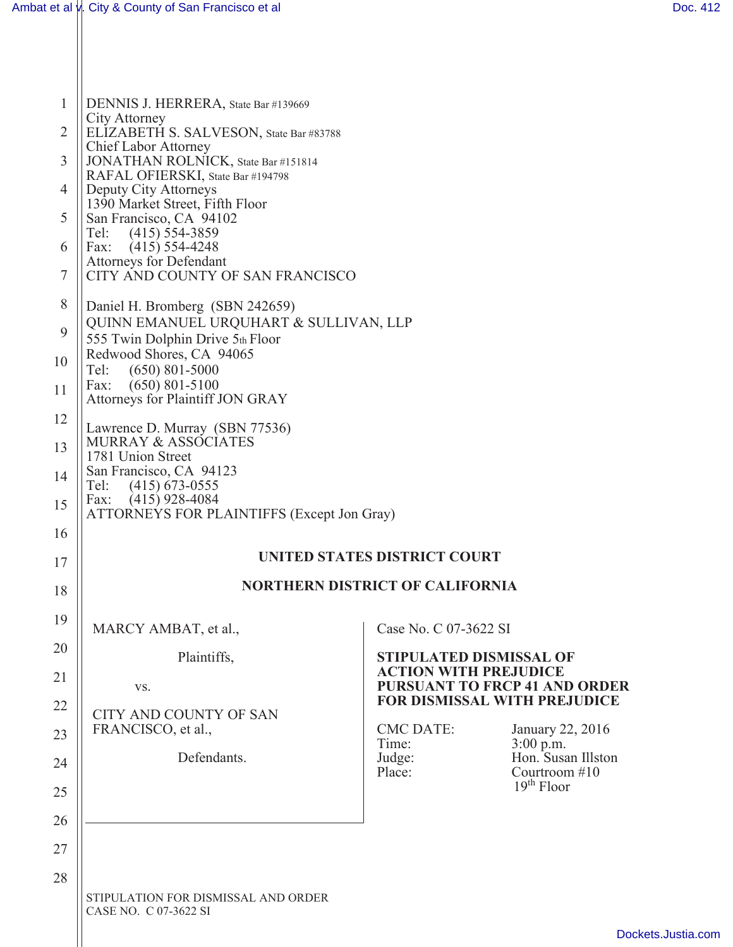| $\mathbf{1}$   | DENNIS J. HERRERA, State Bar #139669                                                                                                                                                                                                            |                                                                |                                                     |  |  |  |  |  |
|----------------|-------------------------------------------------------------------------------------------------------------------------------------------------------------------------------------------------------------------------------------------------|----------------------------------------------------------------|-----------------------------------------------------|--|--|--|--|--|
| $\overline{2}$ | <b>City Attorney</b><br>ELIZABETH S. SALVESON, State Bar #83788                                                                                                                                                                                 |                                                                |                                                     |  |  |  |  |  |
| 3              | Chief Labor Attorney<br>JONATHAN ROLNICK, State Bar #151814                                                                                                                                                                                     |                                                                |                                                     |  |  |  |  |  |
| $\overline{4}$ | RAFAL OFIERSKI, State Bar #194798<br>Deputy City Attorneys<br>1390 Market Street, Fifth Floor<br>San Francisco, CA 94102<br>$(415)$ 554-3859<br>Tel:<br>Fax:<br>$(415)$ 554-4248<br>Attorneys for Defendant<br>CITY AND COUNTY OF SAN FRANCISCO |                                                                |                                                     |  |  |  |  |  |
| 5              |                                                                                                                                                                                                                                                 |                                                                |                                                     |  |  |  |  |  |
| 6              |                                                                                                                                                                                                                                                 |                                                                |                                                     |  |  |  |  |  |
| 7              |                                                                                                                                                                                                                                                 |                                                                |                                                     |  |  |  |  |  |
| 8              | Daniel H. Bromberg (SBN 242659)                                                                                                                                                                                                                 |                                                                |                                                     |  |  |  |  |  |
| 9              | QUINN EMANUEL URQUHART & SULLIVAN, LLP<br>555 Twin Dolphin Drive 5th Floor                                                                                                                                                                      |                                                                |                                                     |  |  |  |  |  |
| 10             | Redwood Shores, CA 94065<br>$(650)$ 801-5000<br>Tel:                                                                                                                                                                                            |                                                                |                                                     |  |  |  |  |  |
| 11             | $(650)$ 801-5100<br>Fax:<br>Attorneys for Plaintiff JON GRAY                                                                                                                                                                                    |                                                                |                                                     |  |  |  |  |  |
| 12             | Lawrence D. Murray (SBN 77536)                                                                                                                                                                                                                  |                                                                |                                                     |  |  |  |  |  |
| 13             | <b>MURRAY &amp; ASSOCIATES</b><br>1781 Union Street                                                                                                                                                                                             |                                                                |                                                     |  |  |  |  |  |
| 14             | San Francisco, CA 94123<br>Tel:<br>$(415)$ 673-0555                                                                                                                                                                                             |                                                                |                                                     |  |  |  |  |  |
| 15             | $(415)$ 928-4084<br>Fax:<br>ATTORNEYS FOR PLAINTIFFS (Except Jon Gray)                                                                                                                                                                          |                                                                |                                                     |  |  |  |  |  |
| 16             |                                                                                                                                                                                                                                                 |                                                                |                                                     |  |  |  |  |  |
| 17             | <b>UNITED STATES DISTRICT COURT</b>                                                                                                                                                                                                             |                                                                |                                                     |  |  |  |  |  |
| 18             |                                                                                                                                                                                                                                                 | <b>NORTHERN DISTRICT OF CALIFORNIA</b>                         |                                                     |  |  |  |  |  |
| 19             | MARCY AMBAT, et al.,                                                                                                                                                                                                                            | Case No. C 07-3622 SI                                          |                                                     |  |  |  |  |  |
| 20             | Plaintiffs,                                                                                                                                                                                                                                     | <b>STIPULATED DISMISSAL OF</b><br><b>ACTION WITH PREJUDICE</b> |                                                     |  |  |  |  |  |
| 21             | VS.                                                                                                                                                                                                                                             | FOR DISMISSAL WITH PREJUDICE                                   | <b>PURSUANT TO FRCP 41 AND ORDER</b>                |  |  |  |  |  |
| 22             | <b>CITY AND COUNTY OF SAN</b><br>FRANCISCO, et al.,                                                                                                                                                                                             | <b>CMC DATE:</b>                                               |                                                     |  |  |  |  |  |
| 23             | Defendants.                                                                                                                                                                                                                                     | Time:                                                          | January 22, 2016<br>3:00 p.m.<br>Hon. Susan Illston |  |  |  |  |  |
| 24             |                                                                                                                                                                                                                                                 | Judge:<br>Place:                                               | Courtroom #10<br>$19th$ Floor                       |  |  |  |  |  |
| 25             |                                                                                                                                                                                                                                                 |                                                                |                                                     |  |  |  |  |  |
| 26             |                                                                                                                                                                                                                                                 |                                                                |                                                     |  |  |  |  |  |
| 27<br>28       |                                                                                                                                                                                                                                                 |                                                                |                                                     |  |  |  |  |  |
|                | STIPULATION FOR DISMISSAL AND ORDER<br>CASE NO. C 07-3622 SI                                                                                                                                                                                    |                                                                |                                                     |  |  |  |  |  |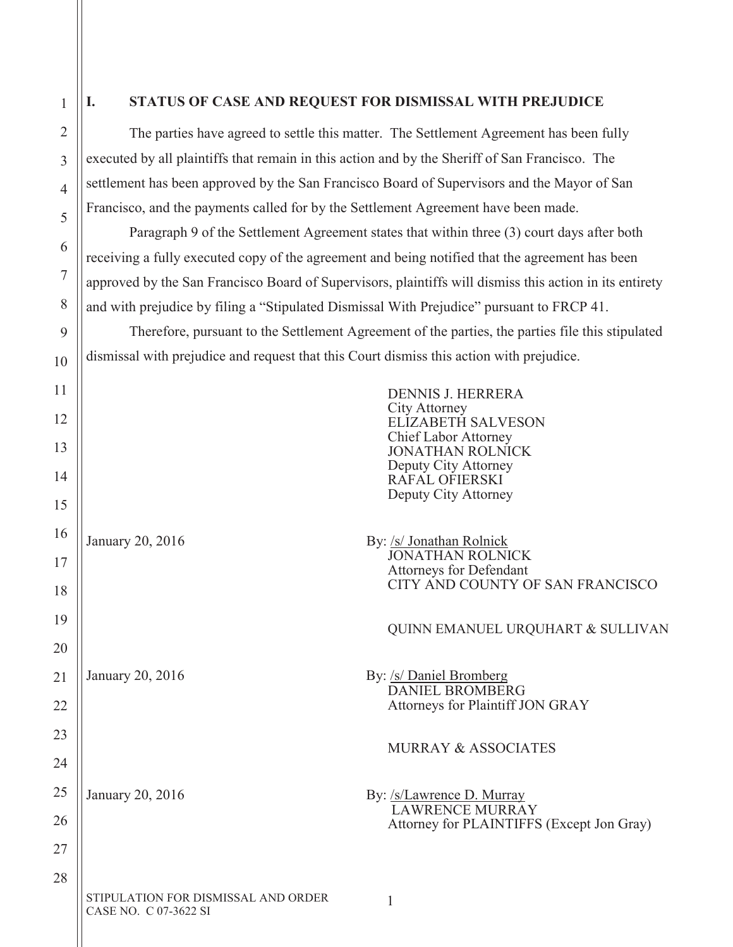1

2

3

4

5

6

7

8

9

10

## **I. STATUS OF CASE AND REQUEST FOR DISMISSAL WITH PREJUDICE**

The parties have agreed to settle this matter. The Settlement Agreement has been fully executed by all plaintiffs that remain in this action and by the Sheriff of San Francisco. The settlement has been approved by the San Francisco Board of Supervisors and the Mayor of San Francisco, and the payments called for by the Settlement Agreement have been made.

Paragraph 9 of the Settlement Agreement states that within three (3) court days after both receiving a fully executed copy of the agreement and being notified that the agreement has been approved by the San Francisco Board of Supervisors, plaintiffs will dismiss this action in its entirety and with prejudice by filing a "Stipulated Dismissal With Prejudice" pursuant to FRCP 41.

Therefore, pursuant to the Settlement Agreement of the parties, the parties file this stipulated dismissal with prejudice and request that this Court dismiss this action with prejudice.

| 11<br>12<br>13  |                                                              | <b>DENNIS J. HERRERA</b><br><b>City Attorney</b><br><b>ELIZABETH SALVESON</b><br>Chief Labor Attorney<br><b>JONATHAN ROLNICK</b> |
|-----------------|--------------------------------------------------------------|----------------------------------------------------------------------------------------------------------------------------------|
| 14              |                                                              | Deputy City Attorney<br>RAFAL OFIERSKI<br>Deputy City Attorney                                                                   |
| 15              |                                                              |                                                                                                                                  |
| 16              | January 20, 2016                                             | By: /s/ Jonathan Rolnick<br>JONATHAN ROLNICK                                                                                     |
| 17              |                                                              | <b>Attorneys for Defendant</b>                                                                                                   |
| 18              |                                                              | CITY AND COUNTY OF SAN FRANCISCO                                                                                                 |
| 19              |                                                              | QUINN EMANUEL URQUHART & SULLIVAN                                                                                                |
| 20              |                                                              |                                                                                                                                  |
| $\overline{21}$ | January 20, 2016                                             | By: /s/ Daniel Bromberg<br>DANIEL BROMBERG                                                                                       |
| 22              |                                                              | Attorneys for Plaintiff JON GRAY                                                                                                 |
| 23              |                                                              |                                                                                                                                  |
| 24              |                                                              | <b>MURRAY &amp; ASSOCIATES</b>                                                                                                   |
| 25              | January 20, 2016                                             | By: /s/Lawrence D. Murray                                                                                                        |
| 26              |                                                              | <b>LAWRENCE MURRAY</b><br>Attorney for PLAINTIFFS (Except Jon Gray)                                                              |
| 27              |                                                              |                                                                                                                                  |
| 28              |                                                              |                                                                                                                                  |
|                 | STIPULATION FOR DISMISSAL AND ORDER<br>CASE NO. C 07-3622 SI | 1                                                                                                                                |
|                 |                                                              |                                                                                                                                  |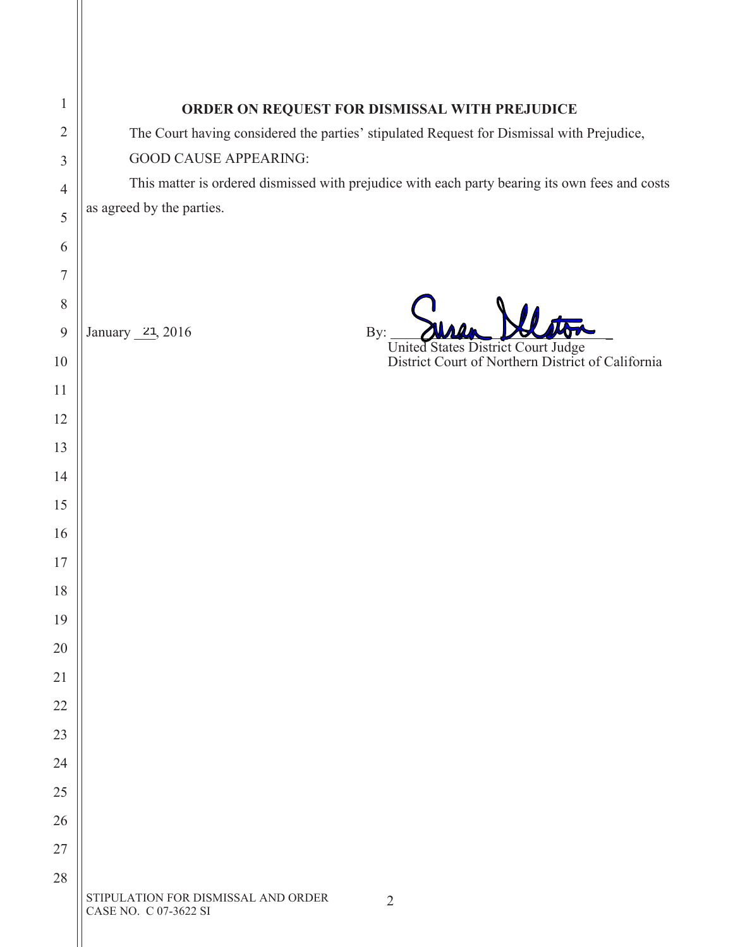| $\mathbf{1}$   | ORDER ON REQUEST FOR DISMISSAL WITH PREJUDICE                                                  |  |  |  |  |  |
|----------------|------------------------------------------------------------------------------------------------|--|--|--|--|--|
| $\overline{2}$ | The Court having considered the parties' stipulated Request for Dismissal with Prejudice,      |  |  |  |  |  |
| 3              | <b>GOOD CAUSE APPEARING:</b>                                                                   |  |  |  |  |  |
| $\overline{4}$ | This matter is ordered dismissed with prejudice with each party bearing its own fees and costs |  |  |  |  |  |
| 5              | as agreed by the parties.                                                                      |  |  |  |  |  |
| 6              |                                                                                                |  |  |  |  |  |
| $\overline{7}$ |                                                                                                |  |  |  |  |  |
| 8              |                                                                                                |  |  |  |  |  |
| 9              | January 21, 2016<br>By:                                                                        |  |  |  |  |  |
| 10             | United States District Court Judge<br>District Court of Northern District of California        |  |  |  |  |  |
| 11             |                                                                                                |  |  |  |  |  |
| 12             |                                                                                                |  |  |  |  |  |
| 13             |                                                                                                |  |  |  |  |  |
| 14             |                                                                                                |  |  |  |  |  |
| 15             |                                                                                                |  |  |  |  |  |
| 16             |                                                                                                |  |  |  |  |  |
| 17             |                                                                                                |  |  |  |  |  |
| 18             |                                                                                                |  |  |  |  |  |
| 19             |                                                                                                |  |  |  |  |  |
| 20             |                                                                                                |  |  |  |  |  |
| 21             |                                                                                                |  |  |  |  |  |
| 22             |                                                                                                |  |  |  |  |  |
| 23             |                                                                                                |  |  |  |  |  |
| 24             |                                                                                                |  |  |  |  |  |
| 25             |                                                                                                |  |  |  |  |  |
| 26             |                                                                                                |  |  |  |  |  |
| 27             |                                                                                                |  |  |  |  |  |
| 28             |                                                                                                |  |  |  |  |  |
|                | STIPULATION FOR DISMISSAL AND ORDER<br>$\overline{2}$<br>CASE NO. C 07-3622 SI                 |  |  |  |  |  |